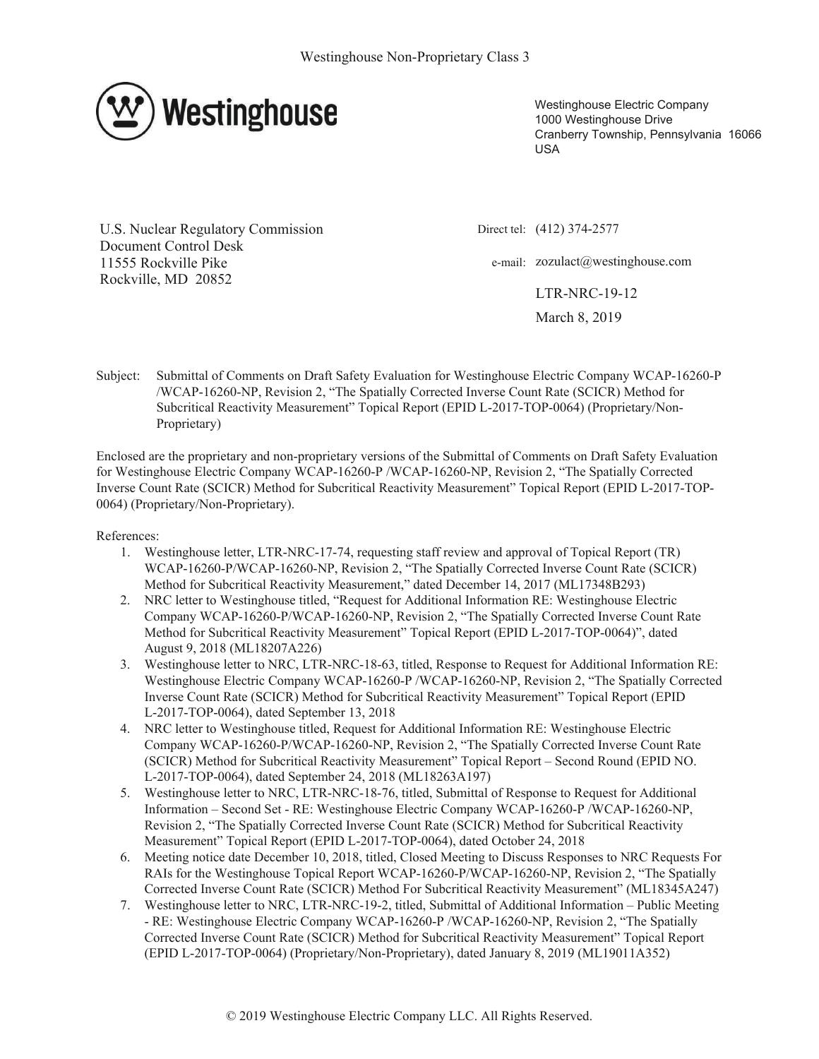

Westinghouse Electric Company 1000 Westinghouse Drive Cranberry Township, Pennsylvania 16066 **USA** 

**U.S. Nuclear Regulatory Commission** Document Control Desk 11555 Rockville Pike Rockville, MD 20852

Direct tel: (412) 374-2577

e-mail: zozulact@westinghouse.com

**LTR-NRC-19-12** March 8, 2019

Subject: Submittal of Comments on Draft Safety Evaluation for Westinghouse Electric Company WCAP-16260-P /WCAP-16260-NP, Revision 2, "The Spatially Corrected Inverse Count Rate (SCICR) Method for Subcritical Reactivity Measurement" Topical Report (EPID L-2017-TOP-0064) (Proprietary/Non-Proprietary)

Enclosed are the proprietary and non-proprietary versions of the Submittal of Comments on Draft Safety Evaluation for Westinghouse Electric Company WCAP-16260-P /WCAP-16260-NP, Revision 2, "The Spatially Corrected Inverse Count Rate (SCICR) Method for Subcritical Reactivity Measurement" Topical Report (EPID L-2017-TOP-0064) (Proprietary/Non-Proprietary).

References:

- 1. Westinghouse letter, LTR-NRC-17-74, requesting staff review and approval of Topical Report (TR) WCAP-16260-P/WCAP-16260-NP, Revision 2, "The Spatially Corrected Inverse Count Rate (SCICR) Method for Subcritical Reactivity Measurement," dated December 14, 2017 (ML17348B293)
- 2. NRC letter to Westinghouse titled, "Request for Additional Information RE: Westinghouse Electric Company WCAP-16260-P/WCAP-16260-NP, Revision 2, "The Spatially Corrected Inverse Count Rate Method for Subcritical Reactivity Measurement" Topical Report (EPID L-2017-TOP-0064)", dated August 9, 2018 (ML18207A226)
- 3. Westinghouse letter to NRC, LTR-NRC-18-63, titled, Response to Request for Additional Information RE: Westinghouse Electric Company WCAP-16260-P/WCAP-16260-NP, Revision 2, "The Spatially Corrected Inverse Count Rate (SCICR) Method for Subcritical Reactivity Measurement" Topical Report (EPID L-2017-TOP-0064), dated September 13, 2018
- 4. NRC letter to Westinghouse titled, Request for Additional Information RE: Westinghouse Electric Company WCAP-16260-P/WCAP-16260-NP, Revision 2, "The Spatially Corrected Inverse Count Rate (SCICR) Method for Subcritical Reactivity Measurement" Topical Report - Second Round (EPID NO. L-2017-TOP-0064), dated September 24, 2018 (ML18263A197)
- 5. Westinghouse letter to NRC, LTR-NRC-18-76, titled, Submittal of Response to Request for Additional Information - Second Set - RE: Westinghouse Electric Company WCAP-16260-P /WCAP-16260-NP, Revision 2, "The Spatially Corrected Inverse Count Rate (SCICR) Method for Subcritical Reactivity Measurement" Topical Report (EPID L-2017-TOP-0064), dated October 24, 2018
- 6. Meeting notice date December 10, 2018, titled, Closed Meeting to Discuss Responses to NRC Requests For RAIs for the Westinghouse Topical Report WCAP-16260-P/WCAP-16260-NP, Revision 2, "The Spatially Corrected Inverse Count Rate (SCICR) Method For Subcritical Reactivity Measurement" (ML18345A247)
- 7. Westinghouse letter to NRC, LTR-NRC-19-2, titled, Submittal of Additional Information Public Meeting - RE: Westinghouse Electric Company WCAP-16260-P /WCAP-16260-NP, Revision 2, "The Spatially Corrected Inverse Count Rate (SCICR) Method for Subcritical Reactivity Measurement" Topical Report (EPID L-2017-TOP-0064) (Proprietary/Non-Proprietary), dated January 8, 2019 (ML19011A352)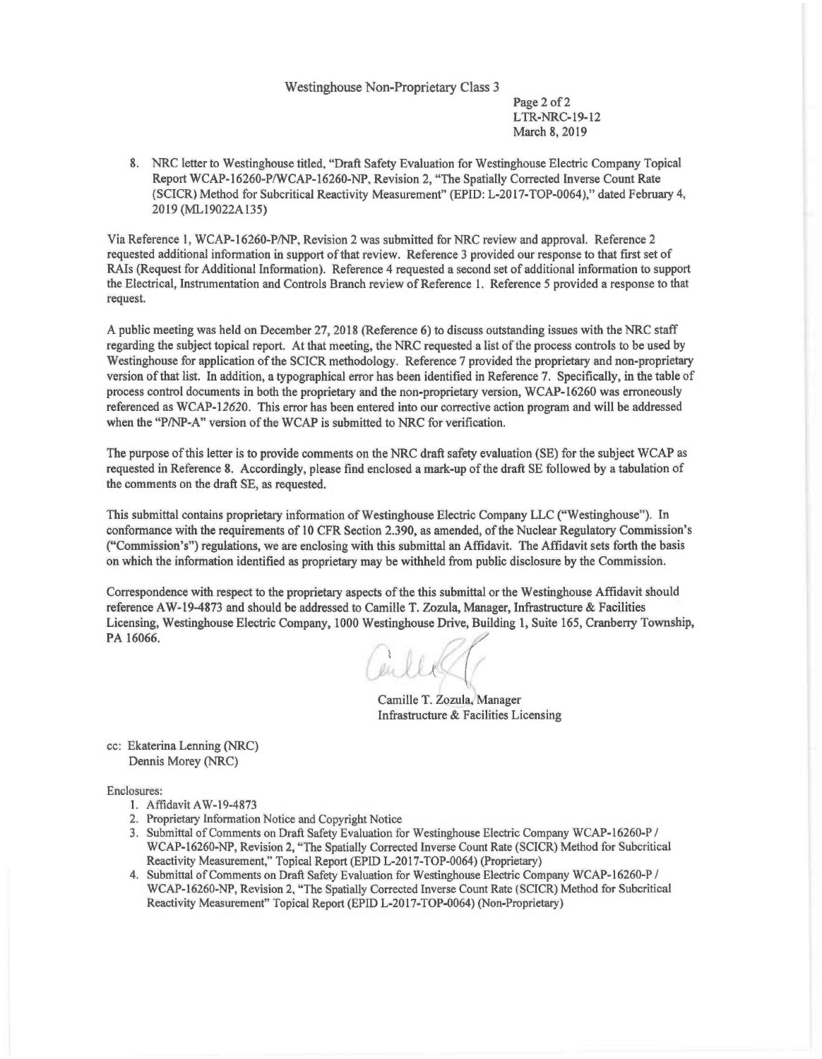#### Westinghouse Non-Proprietary Class 3

Page 2 of 2 LTR-NRC-19-12 March 8, 2019

8. NRC letter to Westinghouse titled, "Draft Safety Evaluation for Westinghouse Electric Company Topical Report WCAP-16260-P/WCAP-16260-NP, Revision 2, "The Spatially Corrected Inverse Count Rate (SCICR) Method for Subcritical Reactivity Measurement" (EPID: L-2017-TOP-0064)," dated February 4, 2019 (ML19022Al35)

Via Reference I, WCAP-16260-P/NP, Revision 2 was submitted for NRC review and approval. Reference 2 requested additional information in support of that review. Reference 3 provided our response to that first set of RAIs (Request for Additional Information). Reference 4 requested a second set of additional information to support the Electrical, Instrumentation and Controls Branch review of Reference l. Reference 5 provided a response to that request.

A public meeting was held on December 27, 2018 (Reference 6) to discuss outstanding issues with the NRC staff regarding the subject topical report. At that meeting, the NRC requested a list of the process controls to be used by Westinghouse for application of the SCICR methodology. Reference 7 provided the proprietary and non-proprietary version of that list. In addition, a typographical error has been identified in Reference 7. Specifically, in the table of process control documents in both the proprietary and the non-proprietary version, WCAP-16260 was erroneously referenced as WCAP-12620. This error has been entered into our corrective action program and will be addressed when the "P/NP-A" version of the WCAP is submitted to NRC for verification.

The purpose of this letter is to provide comments on the NRC draft safety evaluation (SE) for the subject WCAP as requested in Reference 8. Accordingly, please find enclosed a mark-up of the draft SE followed by a tabulation of the comments on the draft SE, as requested.

This submittal contains proprietary information of Westinghouse Electric Company LLC ("Westinghouse"). In conformance with the requirements of IO CFR Section 2.390, as amended, of the Nuclear Regulatory Commission's ("Commission's") regulations, we are enclosing with this submittal an Affidavit. The Affidavit sets forth the basis on which the information identified as proprietary may be withheld from public disclosure by the Commission.

Correspondence with respect to the proprietary aspects of the this submittal or the Westinghouse Affidavit should reference A W-19-4873 and should be addressed to Camille T. Zozula, Manager, Infrastructure & Facilities Licensing, Westinghouse Electric Company, 1000 Westinghouse Drive, Building 1, Suite 165, Cranberry Township,<br>PA 16066.

Girles(1)

Camille T. Zozula, Manager Infrastructure & Facilities Licensing

cc: Ekaterina Lenning (NRC) Dennis Morey (NRC)

Enclosures:

- I. Aflidavit A W-19-4873
- 2. Proprietary Information Notice and Copyright Notice
- 3. Submittal of Comments on Draft Safety Evaluation for Westinghouse Electric Company WCAP-16260-P / WCAP-16260-NP, Revision 2, "The Spatially Corrected Inverse Count Rate (SCICR) Method for Subcritical Reactivity Measurement," Topical Report (EPID L-2017-TOP-0064) (Proprietary)
- 4. Submittal of Comments on Draft Safety Evaluation for Westinghouse Electric Company WCAP-16260-P / WCAP-16260-NP, Revision 2, "The Spatially Corrected Inverse Count Rate (SCICR) Method for Subcritical Reactivity Measurement" Topical Report (EPID L-2017-TOP-0064) (Non-Proprietary)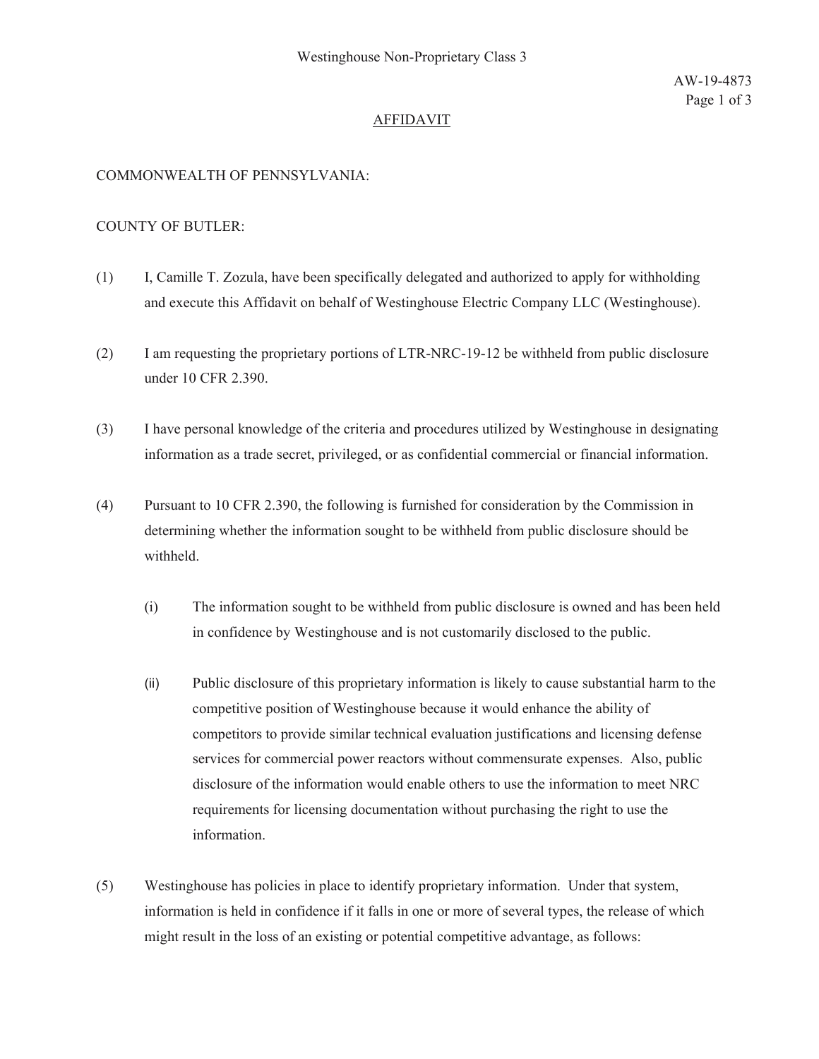# **AFFIDAVIT**

## COMMONWEALTH OF PENNSYLVANIA:

#### **COUNTY OF BUTLER:**

- $(1)$ I, Camille T. Zozula, have been specifically delegated and authorized to apply for withholding and execute this Affidavit on behalf of Westinghouse Electric Company LLC (Westinghouse).
- I am requesting the proprietary portions of LTR-NRC-19-12 be withheld from public disclosure  $(2)$ under 10 CFR 2.390.
- $(3)$ I have personal knowledge of the criteria and procedures utilized by Westinghouse in designating information as a trade secret, privileged, or as confidential commercial or financial information.
- $(4)$ Pursuant to 10 CFR 2.390, the following is furnished for consideration by the Commission in determining whether the information sought to be withheld from public disclosure should be withheld.
	- $(i)$ The information sought to be withheld from public disclosure is owned and has been held in confidence by Westinghouse and is not customarily disclosed to the public.
	- $(ii)$ Public disclosure of this proprietary information is likely to cause substantial harm to the competitive position of Westinghouse because it would enhance the ability of competitors to provide similar technical evaluation justifications and licensing defense services for commercial power reactors without commensurate expenses. Also, public disclosure of the information would enable others to use the information to meet NRC requirements for licensing documentation without purchasing the right to use the information.
- $(5)$ Westinghouse has policies in place to identify proprietary information. Under that system, information is held in confidence if it falls in one or more of several types, the release of which might result in the loss of an existing or potential competitive advantage, as follows: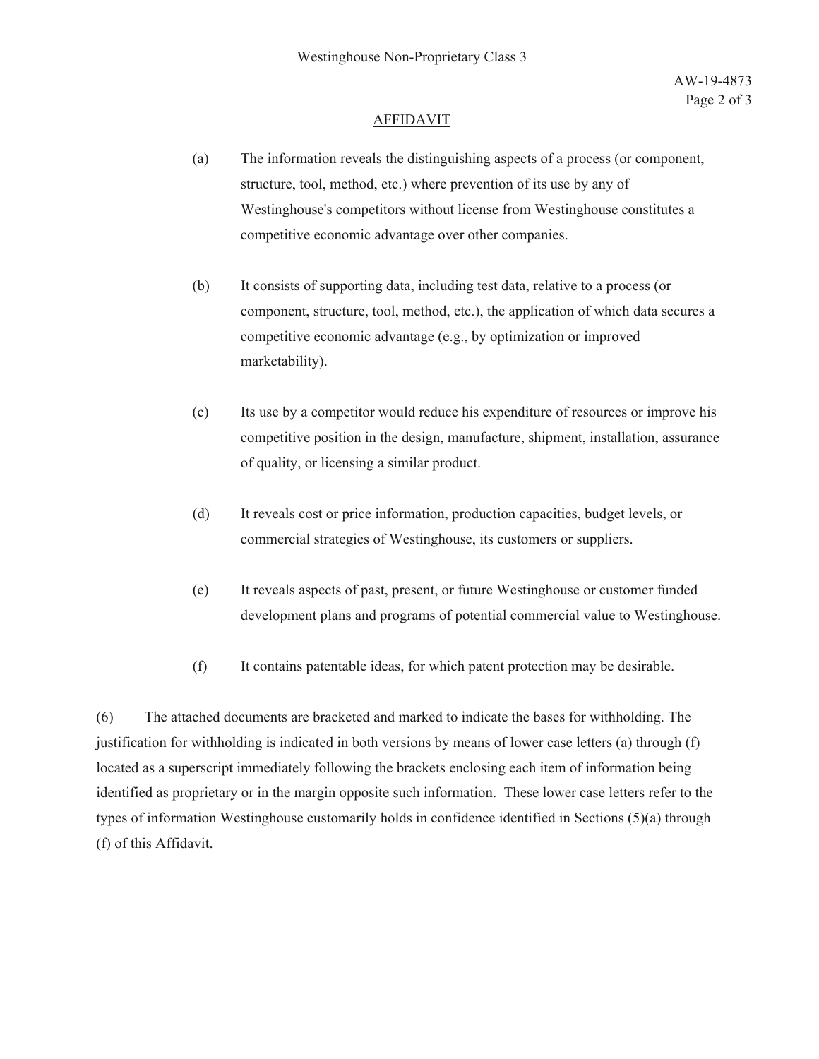### **AFFIDAVIT**

- The information reveals the distinguishing aspects of a process (or component,  $(a)$ structure, tool, method, etc.) where prevention of its use by any of Westinghouse's competitors without license from Westinghouse constitutes a competitive economic advantage over other companies.
- $(b)$ It consists of supporting data, including test data, relative to a process (or component, structure, tool, method, etc.), the application of which data secures a competitive economic advantage (e.g., by optimization or improved marketability).
- $(c)$ Its use by a competitor would reduce his expenditure of resources or improve his competitive position in the design, manufacture, shipment, installation, assurance of quality, or licensing a similar product.
- $(d)$ It reveals cost or price information, production capacities, budget levels, or commercial strategies of Westinghouse, its customers or suppliers.
- $(e)$ It reveals aspects of past, present, or future Westinghouse or customer funded development plans and programs of potential commercial value to Westinghouse.
- $(f)$ It contains patentable ideas, for which patent protection may be desirable.

 $(6)$ The attached documents are bracketed and marked to indicate the bases for withholding. The justification for withholding is indicated in both versions by means of lower case letters (a) through (f) located as a superscript immediately following the brackets enclosing each item of information being identified as proprietary or in the margin opposite such information. These lower case letters refer to the types of information Westinghouse customarily holds in confidence identified in Sections (5)(a) through (f) of this Affidavit.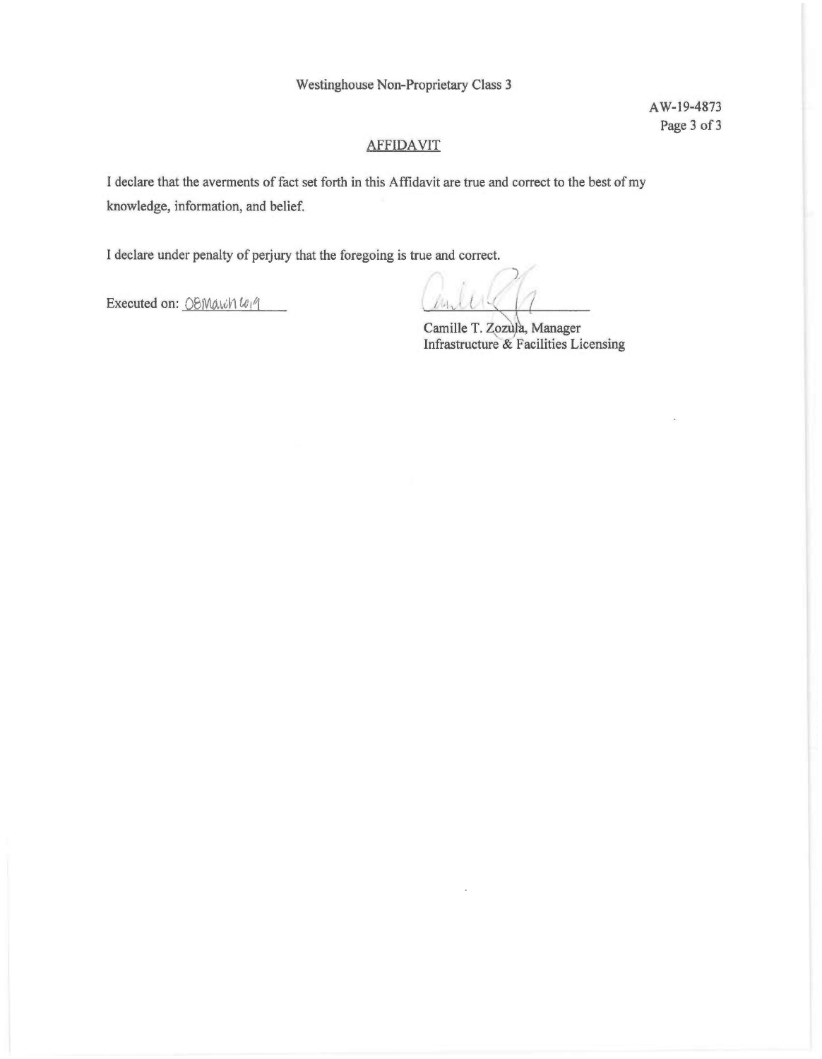Westinghouse Non-Proprietary Class 3

AW-19-4873 Page 3 of 3

# **AFFIDAVIT**

I declare that the averments of fact set forth in this Affidavit are true and correct to the best of my knowledge, information, and belief.

I declare under penalty of perjury that the foregoing is true and correct.

Executed on: OBMarch W19

Camille T. Zozula, Manager Infrastructure & Facilities Licensing